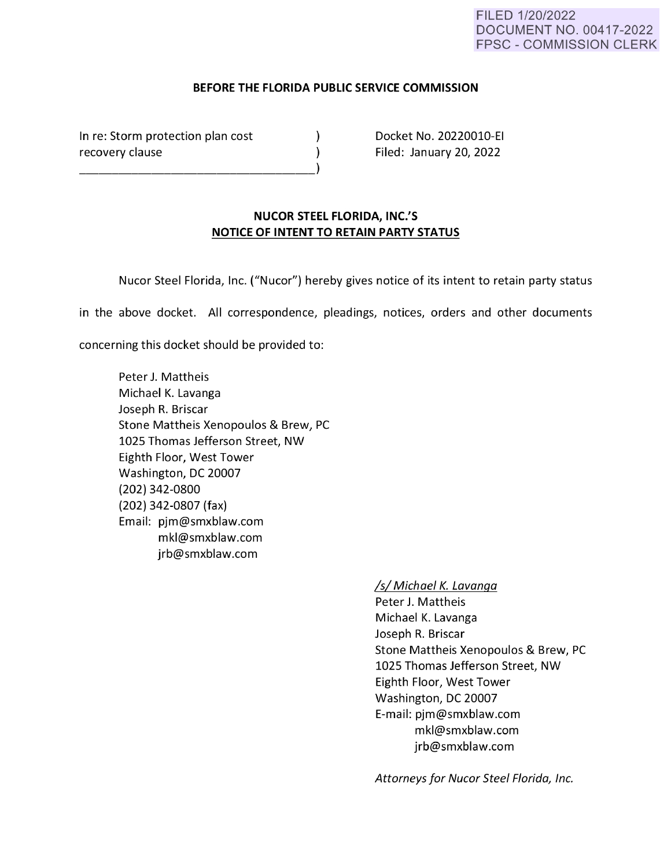## FILED 1/20/2022 DOCUMENT NO. 00417-2022 FPSC - COMMISSION CLERK

### **BEFORE THE FLORIDA PUBLIC SERVICE COMMISSION**

 $\lambda$  $\lambda$ 

In re: Storm protection plan cost recovery clause

Docket No. 20220010-EI Filed: January 20, 2022

# **NUCOR STEEL FLORIDA, INC.'S NOTICE OF INTENT TO RETAIN PARTY STATUS**

Nucor Steel Florida, Inc. ("Nucor") hereby gives notice of its intent to retain party status

in the above docket. All correspondence, pleadings, notices, orders and other documents

concerning this docket should be provided to:

Peter J. Mattheis Michael K. Lavanga Joseph R. Briscar Stone Mattheis Xenopoulos & Brew, PC 1025 Thomas Jefferson Street, NW Eighth Floor, West Tower Washington, DC 20007 **(202) 342-0800**  (202) 342-0807 (fax) Email: pjm@smxblaw.com mkl@smxblaw.com jrb@smxblaw.com

### ls/Michael K. Lavanqa

Peter J. Mattheis Michael K. Lavanga Joseph R. Briscar Stone Mattheis Xenopoulos & Brew, PC 1025 Thomas Jefferson Street, NW Eighth Floor, West Tower Washington, DC 20007 E-mail: pjm@smxblaw.com mkl@smxblaw.com jrb@smxblaw.com

Attorneys for Nucor Steel Florida, Inc.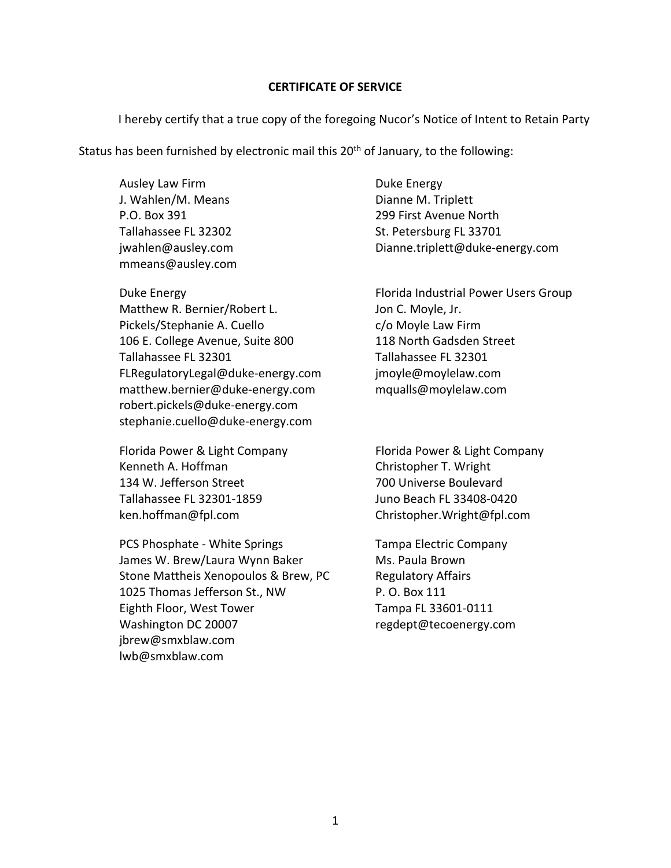### **CERTIFICATE OF SERVICE**

I hereby certify that a true copy of the foregoing Nucor's Notice of Intent to Retain Party

Status has been furnished by electronic mail this  $20<sup>th</sup>$  of January, to the following:

Ausley Law Firm J. Wahlen/M. Means P.O. Box 391 Tallahassee FL 32302 jwahlen@ausley.com mmeans@ausley.com

Duke Energy Matthew R. Bernier/Robert L. Pickels/Stephanie A. Cuello 106 E. College Avenue, Suite 800 Tallahassee FL 32301 FLRegulatoryLegal@duke‐energy.com matthew.bernier@duke‐energy.com robert.pickels@duke‐energy.com stephanie.cuello@duke‐energy.com

Florida Power & Light Company Kenneth A. Hoffman 134 W. Jefferson Street Tallahassee FL 32301‐1859 ken.hoffman@fpl.com

PCS Phosphate ‐ White Springs James W. Brew/Laura Wynn Baker Stone Mattheis Xenopoulos & Brew, PC 1025 Thomas Jefferson St., NW Eighth Floor, West Tower Washington DC 20007 jbrew@smxblaw.com lwb@smxblaw.com

Duke Energy Dianne M. Triplett 299 First Avenue North St. Petersburg FL 33701 Dianne.triplett@duke‐energy.com

Florida Industrial Power Users Group Jon C. Moyle, Jr. c/o Moyle Law Firm 118 North Gadsden Street Tallahassee FL 32301 jmoyle@moylelaw.com mqualls@moylelaw.com

Florida Power & Light Company Christopher T. Wright 700 Universe Boulevard Juno Beach FL 33408‐0420 Christopher.Wright@fpl.com

Tampa Electric Company Ms. Paula Brown Regulatory Affairs P. O. Box 111 Tampa FL 33601‐0111 regdept@tecoenergy.com